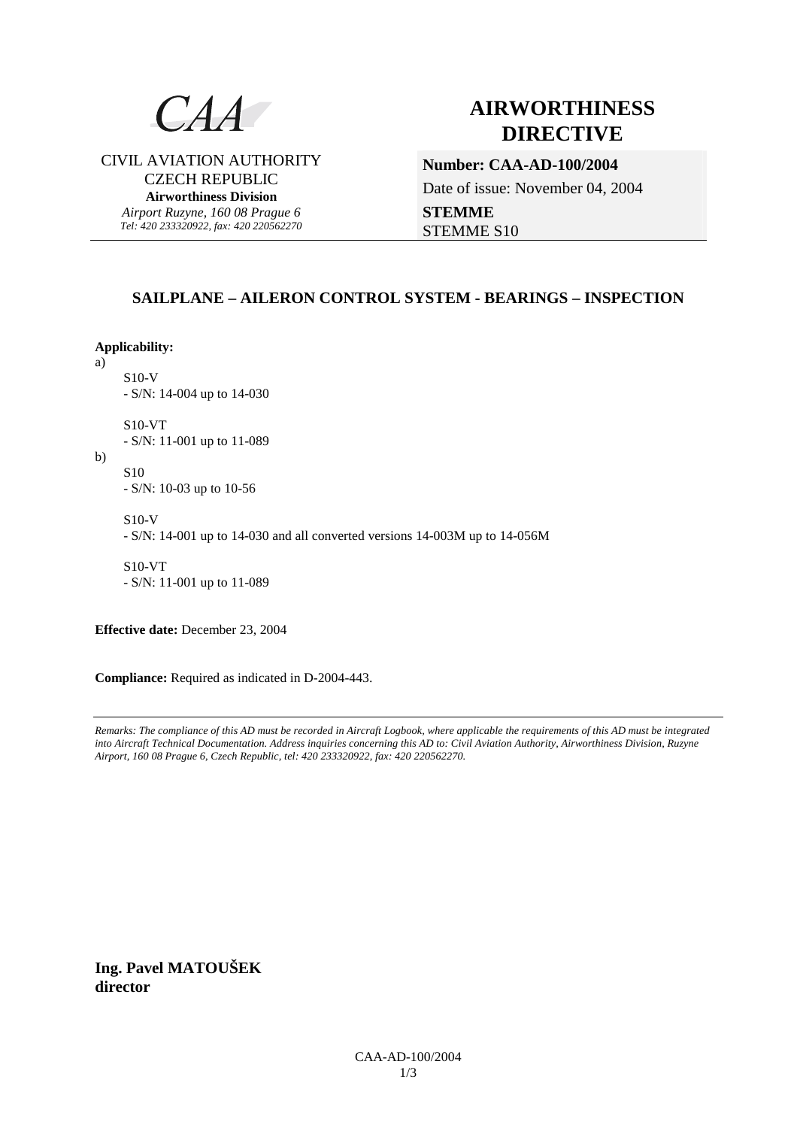

# **AIRWORTHINESS DIRECTIVE**

CIVIL AVIATION AUTHORITY CZECH REPUBLIC **Airworthiness Division**  *Airport Ruzyne, 160 08 Prague 6* 

*Tel: 420 233320922, fax: 420 220562270*

# **Number: CAA-AD-100/2004**  Date of issue: November 04, 2004

**STEMME**  STEMME S10

# **SAILPLANE – AILERON CONTROL SYSTEM - BEARINGS – INSPECTION**

**Applicability:**

a)

S10-V - S/N: 14-004 up to 14-030

S10-VT - S/N: 11-001 up to 11-089

b)

S10 - S/N: 10-03 up to 10-56

S10-V

- S/N: 14-001 up to 14-030 and all converted versions 14-003M up to 14-056M

S10-VT - S/N: 11-001 up to 11-089

**Effective date:** December 23, 2004

**Compliance:** Required as indicated in D-2004-443.

*Remarks: The compliance of this AD must be recorded in Aircraft Logbook, where applicable the requirements of this AD must be integrated into Aircraft Technical Documentation. Address inquiries concerning this AD to: Civil Aviation Authority, Airworthiness Division, Ruzyne Airport, 160 08 Prague 6, Czech Republic, tel: 420 233320922, fax: 420 220562270.* 

**Ing. Pavel MATOUŠEK director**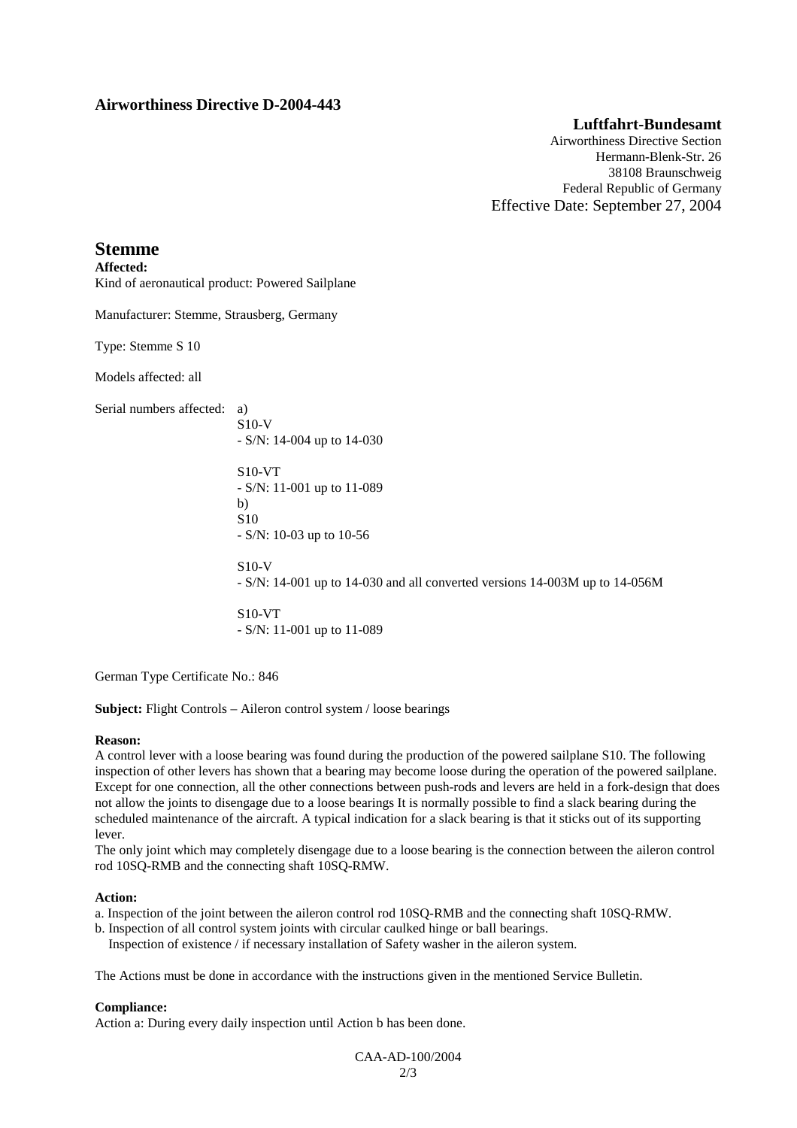# **Airworthiness Directive D-2004-443**

# **Luftfahrt-Bundesamt**

Airworthiness Directive Section Hermann-Blenk-Str. 26 38108 Braunschweig Federal Republic of Germany Effective Date: September 27, 2004

# **Stemme**

**Affected:**  Kind of aeronautical product: Powered Sailplane

Manufacturer: Stemme, Strausberg, Germany

Type: Stemme S 10

Models affected: all

Serial numbers affected: a)

S10-V - S/N: 14-004 up to 14-030

S10-VT - S/N: 11-001 up to 11-089 b) S10 - S/N: 10-03 up to 10-56

S10-V

- S/N: 14-001 up to 14-030 and all converted versions 14-003M up to 14-056M

S10-VT - S/N: 11-001 up to 11-089

German Type Certificate No.: 846

**Subject:** Flight Controls – Aileron control system / loose bearings

# **Reason:**

A control lever with a loose bearing was found during the production of the powered sailplane S10. The following inspection of other levers has shown that a bearing may become loose during the operation of the powered sailplane. Except for one connection, all the other connections between push-rods and levers are held in a fork-design that does not allow the joints to disengage due to a loose bearings It is normally possible to find a slack bearing during the scheduled maintenance of the aircraft. A typical indication for a slack bearing is that it sticks out of its supporting lever.

The only joint which may completely disengage due to a loose bearing is the connection between the aileron control rod 10SQ-RMB and the connecting shaft 10SQ-RMW.

#### **Action:**

a. Inspection of the joint between the aileron control rod 10SQ-RMB and the connecting shaft 10SQ-RMW.

b. Inspection of all control system joints with circular caulked hinge or ball bearings.

Inspection of existence / if necessary installation of Safety washer in the aileron system.

The Actions must be done in accordance with the instructions given in the mentioned Service Bulletin.

# **Compliance:**

Action a: During every daily inspection until Action b has been done.